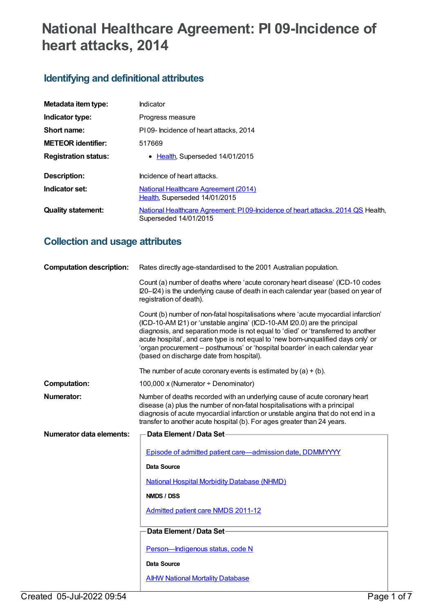# **National Healthcare Agreement: PI 09-Incidence of heart attacks, 2014**

## **Identifying and definitional attributes**

| Metadata item type:         | Indicator                                                                                                |
|-----------------------------|----------------------------------------------------------------------------------------------------------|
| Indicator type:             | Progress measure                                                                                         |
| Short name:                 | PI09- Incidence of heart attacks, 2014                                                                   |
| <b>METEOR</b> identifier:   | 517669                                                                                                   |
| <b>Registration status:</b> | • Health, Superseded 14/01/2015                                                                          |
| Description:                | Incidence of heart attacks.                                                                              |
| Indicator set:              | <b>National Healthcare Agreement (2014)</b><br>Health, Superseded 14/01/2015                             |
| <b>Quality statement:</b>   | National Healthcare Agreement: PI09-Incidence of heart attacks, 2014 QS Health,<br>Superseded 14/01/2015 |

## **Collection and usage attributes**

| <b>Computation description:</b> | Rates directly age-standardised to the 2001 Australian population.                                                                                                                                                                                                                                                                                                                                                                                                   |
|---------------------------------|----------------------------------------------------------------------------------------------------------------------------------------------------------------------------------------------------------------------------------------------------------------------------------------------------------------------------------------------------------------------------------------------------------------------------------------------------------------------|
|                                 | Count (a) number of deaths where 'acute coronary heart disease' (ICD-10 codes<br>I20-I24) is the underlying cause of death in each calendar year (based on year of<br>registration of death).                                                                                                                                                                                                                                                                        |
|                                 | Count (b) number of non-fatal hospitalisations where 'acute myocardial infarction'<br>(ICD-10-AM I21) or 'unstable angina' (ICD-10-AM I20.0) are the principal<br>diagnosis, and separation mode is not equal to 'died' or 'transferred to another<br>acute hospital', and care type is not equal to 'new born-unqualified days only' or<br>'organ procurement - posthumous' or 'hospital boarder' in each calendar year<br>(based on discharge date from hospital). |
|                                 | The number of acute coronary events is estimated by $(a) + (b)$ .                                                                                                                                                                                                                                                                                                                                                                                                    |
| <b>Computation:</b>             | 100,000 x (Numerator ÷ Denominator)                                                                                                                                                                                                                                                                                                                                                                                                                                  |
| Numerator:                      | Number of deaths recorded with an underlying cause of acute coronary heart<br>disease (a) plus the number of non-fatal hospitalisations with a principal<br>diagnosis of acute myocardial infarction or unstable angina that do not end in a<br>transfer to another acute hospital (b). For ages greater than 24 years.                                                                                                                                              |
| <b>Numerator data elements:</b> | Data Element / Data Set-                                                                                                                                                                                                                                                                                                                                                                                                                                             |
|                                 |                                                                                                                                                                                                                                                                                                                                                                                                                                                                      |
|                                 | Episode of admitted patient care-admission date, DDMMYYYY                                                                                                                                                                                                                                                                                                                                                                                                            |
|                                 | <b>Data Source</b>                                                                                                                                                                                                                                                                                                                                                                                                                                                   |
|                                 | <b>National Hospital Morbidity Database (NHMD)</b>                                                                                                                                                                                                                                                                                                                                                                                                                   |
|                                 | NMDS / DSS                                                                                                                                                                                                                                                                                                                                                                                                                                                           |
|                                 | <b>Admitted patient care NMDS 2011-12</b>                                                                                                                                                                                                                                                                                                                                                                                                                            |
|                                 | Data Element / Data Set-                                                                                                                                                                                                                                                                                                                                                                                                                                             |
|                                 | Person-Indigenous status, code N                                                                                                                                                                                                                                                                                                                                                                                                                                     |
|                                 | <b>Data Source</b>                                                                                                                                                                                                                                                                                                                                                                                                                                                   |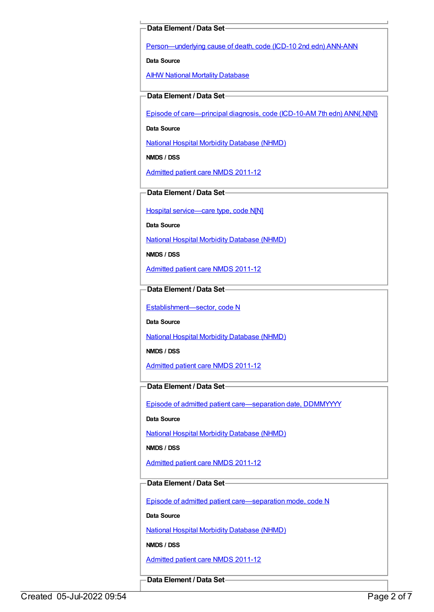### **Data Element / Data Set**

[Person—underlying](https://meteor.aihw.gov.au/content/307931) cause of death, code (ICD-10 2nd edn) ANN-ANN

**Data Source**

**AIHW National Mortality [Database](https://meteor.aihw.gov.au/content/395084)** 

**Data Element / Data Set**

Episode of [care—principal](https://meteor.aihw.gov.au/content/391326) diagnosis, code (ICD-10-AM 7th edn) ANN{.N[N]}

**Data Source**

National Hospital Morbidity [Database](https://meteor.aihw.gov.au/content/394352) (NHMD)

**NMDS / DSS**

[Admitted](https://meteor.aihw.gov.au/content/426861) patient care NMDS 2011-12

**Data Element / Data Set**

Hospital [service—care](https://meteor.aihw.gov.au/content/491557) type, code N[N]

**Data Source**

National Hospital Morbidity [Database](https://meteor.aihw.gov.au/content/394352) (NHMD)

**NMDS / DSS**

[Admitted](https://meteor.aihw.gov.au/content/426861) patient care NMDS 2011-12

**Data Element / Data Set**

[Establishment—sector,](https://meteor.aihw.gov.au/content/269977) code N

**Data Source**

National Hospital Morbidity [Database](https://meteor.aihw.gov.au/content/394352) (NHMD)

**NMDS / DSS**

[Admitted](https://meteor.aihw.gov.au/content/426861) patient care NMDS 2011-12

### **Data Element / Data Set**

Episode of admitted patient [care—separation](https://meteor.aihw.gov.au/content/270025) date, DDMMYYYY

**Data Source**

National Hospital Morbidity [Database](https://meteor.aihw.gov.au/content/394352) (NHMD)

**NMDS / DSS**

[Admitted](https://meteor.aihw.gov.au/content/426861) patient care NMDS 2011-12

### **Data Element / Data Set**

Episode of admitted patient [care—separation](https://meteor.aihw.gov.au/content/270094) mode, code N

**Data Source**

National Hospital Morbidity [Database](https://meteor.aihw.gov.au/content/394352) (NHMD)

**NMDS / DSS**

[Admitted](https://meteor.aihw.gov.au/content/426861) patient care NMDS 2011-12

**Data Element / Data Set**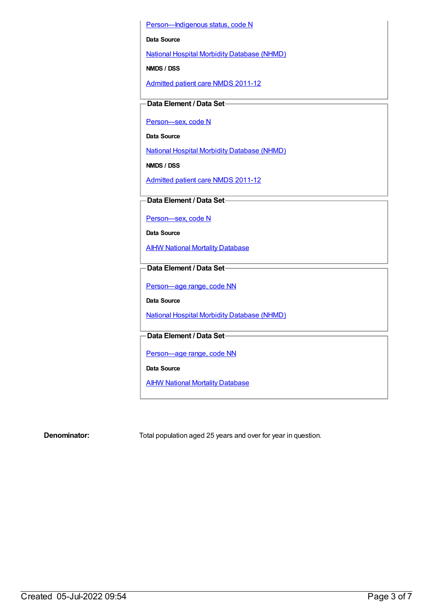Person-Indigenous status, code N

**Data Source**

National Hospital Morbidity [Database](https://meteor.aihw.gov.au/content/394352) (NHMD)

**NMDS / DSS**

[Admitted](https://meteor.aihw.gov.au/content/426861) patient care NMDS 2011-12

**Data Element / Data Set**

[Person—sex,](https://meteor.aihw.gov.au/content/270263) code N

**Data Source**

National Hospital Morbidity [Database](https://meteor.aihw.gov.au/content/394352) (NHMD)

**NMDS / DSS**

[Admitted](https://meteor.aihw.gov.au/content/426861) patient care NMDS 2011-12

**Data Element / Data Set**

[Person—sex,](https://meteor.aihw.gov.au/content/270263) code N

**Data Source**

**AIHW National Mortality [Database](https://meteor.aihw.gov.au/content/395084)** 

**Data Element / Data Set**

[Person—age](https://meteor.aihw.gov.au/content/290540) range, code NN

**Data Source**

National Hospital Morbidity [Database](https://meteor.aihw.gov.au/content/394352) (NHMD)

**Data Element / Data Set**

[Person—age](https://meteor.aihw.gov.au/content/290540) range, code NN

**Data Source**

**AIHW National Mortality [Database](https://meteor.aihw.gov.au/content/395084)** 

**Denominator:** Total population aged 25 years and over for year in question.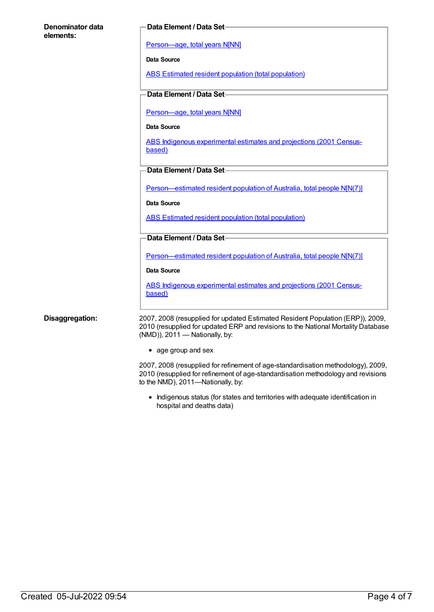### **Denominator data elements:**

### **Data Element / Data Set**

[Person—age,](https://meteor.aihw.gov.au/content/303794) total years N[NN]

**Data Source**

ABS Estimated resident population (total [population\)](https://meteor.aihw.gov.au/content/393625)

### **Data Element / Data Set**

[Person—age,](https://meteor.aihw.gov.au/content/303794) total years N[NN]

**Data Source**

ABS Indigenous [experimental](https://meteor.aihw.gov.au/content/394092) estimates and projections (2001 Censusbased)

**Data Element / Data Set**

[Person—estimated](https://meteor.aihw.gov.au/content/388656) resident population of Australia, total people N[N(7)]

**Data Source**

ABS Estimated resident population (total [population\)](https://meteor.aihw.gov.au/content/393625)

### **Data Element / Data Set**

[Person—estimated](https://meteor.aihw.gov.au/content/388656) resident population of Australia, total people N[N(7)]

**Data Source**

ABS Indigenous [experimental](https://meteor.aihw.gov.au/content/394092) estimates and projections (2001 Censusbased)

**Disaggregation:** 2007, 2008 (resupplied for updated Estimated Resident Population (ERP)), 2009, 2010 (resupplied for updated ERP and revisions to the National Mortality Database (NMD)), 2011 — Nationally, by:

• age group and sex

2007, 2008 (resupplied for refinement of age-standardisation methodology), 2009, 2010 (resupplied for refinement of age-standardisation methodology and revisions to the NMD), 2011—Nationally, by:

• Indigenous status (for states and territories with adequate identification in hospital and deaths data)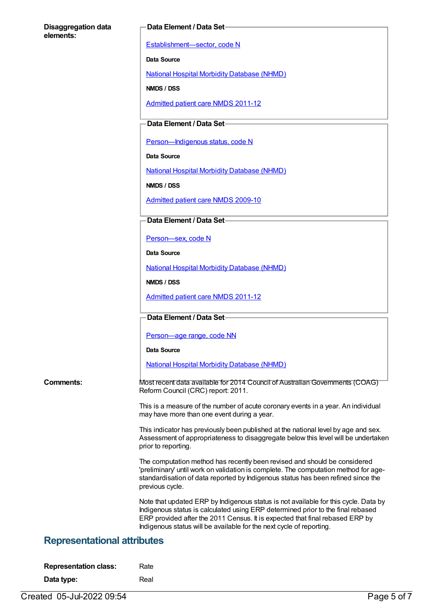### **Disaggregation data elements:**

### **Data Element / Data Set**

[Establishment—sector,](https://meteor.aihw.gov.au/content/269977) code N

**Data Source**

National Hospital Morbidity [Database](https://meteor.aihw.gov.au/content/394352) (NHMD)

**NMDS / DSS**

[Admitted](https://meteor.aihw.gov.au/content/426861) patient care NMDS 2011-12

### **Data Element / Data Set**

Person-Indigenous status, code N

**Data Source**

National Hospital Morbidity [Database](https://meteor.aihw.gov.au/content/394352) (NHMD)

**NMDS / DSS**

[Admitted](https://meteor.aihw.gov.au/content/374205) patient care NMDS 2009-10

### **Data Element / Data Set**

[Person—sex,](https://meteor.aihw.gov.au/content/270263) code N

**Data Source**

National Hospital Morbidity [Database](https://meteor.aihw.gov.au/content/394352) (NHMD)

**NMDS / DSS**

[Admitted](https://meteor.aihw.gov.au/content/426861) patient care NMDS 2011-12

**Data Element / Data Set**

Person-age range, code NN

**Data Source**

National Hospital Morbidity [Database](https://meteor.aihw.gov.au/content/394352) (NHMD)

**Comments:** Most recent data available for 2014 Council of Australian Governments (COAG) Reform Council (CRC) report: 2011.

> This is a measure of the number of acute coronary events in a year. An individual may have more than one event during a year.

This indicator has previously been published at the national level by age and sex. Assessment of appropriateness to disaggregate below this level will be undertaken prior to reporting.

The computation method has recently been revised and should be considered 'preliminary' until work on validation is complete. The computation method for agestandardisation of data reported by Indigenous status has been refined since the previous cycle.

Note that updated ERP by Indigenous status is not available for this cycle. Data by Indigenous status is calculated using ERP determined prior to the final rebased ERP provided after the 2011 Census. It is expected that final rebased ERP by Indigenous status will be available for the next cycle of reporting.

### **Representational attributes**

| <b>Representation class:</b> | Rate |
|------------------------------|------|
|                              |      |

**Data type:** Real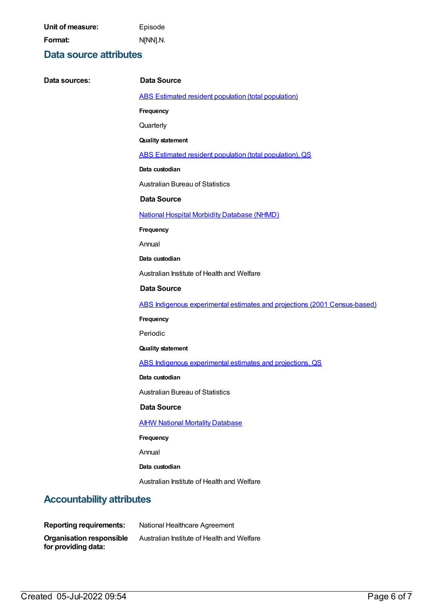**Unit of measure:** Episode **Format:** N[NN].N.

## **Data source attributes**

| Data sources:                    | <b>Data Source</b>                                                        |
|----------------------------------|---------------------------------------------------------------------------|
|                                  | ABS Estimated resident population (total population)                      |
|                                  | Frequency                                                                 |
|                                  | Quarterly                                                                 |
|                                  | <b>Quality statement</b>                                                  |
|                                  | ABS Estimated resident population (total population), QS                  |
|                                  | Data custodian                                                            |
|                                  | <b>Australian Bureau of Statistics</b>                                    |
|                                  | <b>Data Source</b>                                                        |
|                                  | <b>National Hospital Morbidity Database (NHMD)</b>                        |
|                                  | Frequency                                                                 |
|                                  | Annual                                                                    |
|                                  | Data custodian                                                            |
|                                  | Australian Institute of Health and Welfare                                |
|                                  | <b>Data Source</b>                                                        |
|                                  | ABS Indigenous experimental estimates and projections (2001 Census-based) |
|                                  | Frequency                                                                 |
|                                  | Periodic                                                                  |
|                                  | <b>Quality statement</b>                                                  |
|                                  | ABS Indigenous experimental estimates and projections, QS                 |
|                                  | Data custodian                                                            |
|                                  | <b>Australian Bureau of Statistics</b>                                    |
|                                  | <b>Data Source</b>                                                        |
|                                  | <b>AIHW National Mortality Database</b>                                   |
|                                  | Frequency                                                                 |
|                                  | Annual                                                                    |
|                                  | Data custodian                                                            |
|                                  | Australian Institute of Health and Welfare                                |
| <b>Accountability attributes</b> |                                                                           |
| <b>Reporting requirements:</b>   | National Healthcare Agreement                                             |
| <b>Organisation responsible</b>  | Australian Institute of Health and Welfare                                |

**for providing data:**

**Organisation responsible**